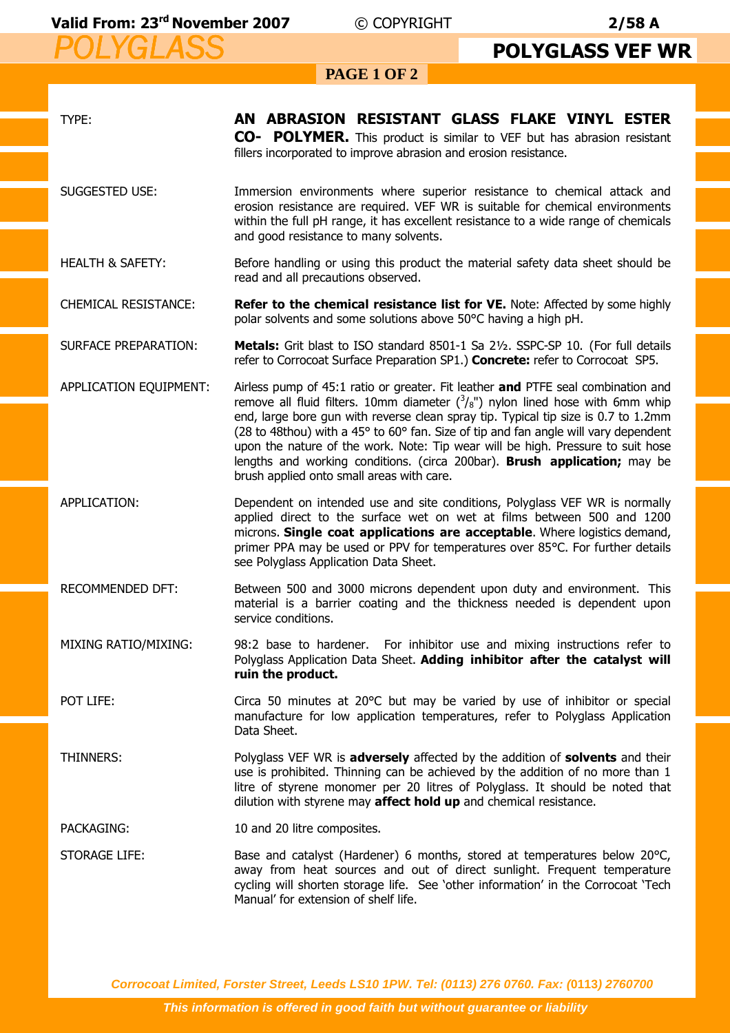## *POLYGLASS POLYGLASS* **Valid From: 23rd November 2007** © COPYRIGHT **2/58 A**

## **PAGE 1 OF 2 POLYGLASS VEF WR**

| TYPE:                       | AN ABRASION RESISTANT GLASS FLAKE VINYL ESTER<br>CO- POLYMER. This product is similar to VEF but has abrasion resistant<br>fillers incorporated to improve abrasion and erosion resistance.                                                                                                                                                                                                                                                                                                                                                                          |  |  |  |  |
|-----------------------------|----------------------------------------------------------------------------------------------------------------------------------------------------------------------------------------------------------------------------------------------------------------------------------------------------------------------------------------------------------------------------------------------------------------------------------------------------------------------------------------------------------------------------------------------------------------------|--|--|--|--|
| <b>SUGGESTED USE:</b>       | Immersion environments where superior resistance to chemical attack and<br>erosion resistance are required. VEF WR is suitable for chemical environments<br>within the full pH range, it has excellent resistance to a wide range of chemicals<br>and good resistance to many solvents.                                                                                                                                                                                                                                                                              |  |  |  |  |
| <b>HEALTH &amp; SAFETY:</b> | Before handling or using this product the material safety data sheet should be<br>read and all precautions observed.                                                                                                                                                                                                                                                                                                                                                                                                                                                 |  |  |  |  |
| <b>CHEMICAL RESISTANCE:</b> | <b>Refer to the chemical resistance list for VE.</b> Note: Affected by some highly<br>polar solvents and some solutions above 50°C having a high pH.                                                                                                                                                                                                                                                                                                                                                                                                                 |  |  |  |  |
| <b>SURFACE PREPARATION:</b> | Metals: Grit blast to ISO standard 8501-1 Sa 21/2. SSPC-SP 10. (For full details<br>refer to Corrocoat Surface Preparation SP1.) Concrete: refer to Corrocoat SP5.                                                                                                                                                                                                                                                                                                                                                                                                   |  |  |  |  |
| APPLICATION EQUIPMENT:      | Airless pump of 45:1 ratio or greater. Fit leather and PTFE seal combination and<br>remove all fluid filters. 10mm diameter $({}^3/_{8}$ ") nylon lined hose with 6mm whip<br>end, large bore gun with reverse clean spray tip. Typical tip size is 0.7 to 1.2mm<br>(28 to 48thou) with a 45° to 60° fan. Size of tip and fan angle will vary dependent<br>upon the nature of the work. Note: Tip wear will be high. Pressure to suit hose<br>lengths and working conditions. (circa 200bar). Brush application; may be<br>brush applied onto small areas with care. |  |  |  |  |
| APPLICATION:                | Dependent on intended use and site conditions, Polyglass VEF WR is normally<br>applied direct to the surface wet on wet at films between 500 and 1200<br>microns. Single coat applications are acceptable. Where logistics demand,<br>primer PPA may be used or PPV for temperatures over 85°C. For further details<br>see Polyglass Application Data Sheet.                                                                                                                                                                                                         |  |  |  |  |
| RECOMMENDED DFT:            | Between 500 and 3000 microns dependent upon duty and environment. This<br>material is a barrier coating and the thickness needed is dependent upon<br>service conditions.                                                                                                                                                                                                                                                                                                                                                                                            |  |  |  |  |
| MIXING RATIO/MIXING:        | 98:2 base to hardener. For inhibitor use and mixing instructions refer to<br>Polyglass Application Data Sheet. Adding inhibitor after the catalyst will<br>ruin the product.                                                                                                                                                                                                                                                                                                                                                                                         |  |  |  |  |
| POT LIFE:                   | Circa 50 minutes at 20°C but may be varied by use of inhibitor or special<br>manufacture for low application temperatures, refer to Polyglass Application<br>Data Sheet.                                                                                                                                                                                                                                                                                                                                                                                             |  |  |  |  |
| THINNERS:                   | Polyglass VEF WR is <b>adversely</b> affected by the addition of <b>solvents</b> and their<br>use is prohibited. Thinning can be achieved by the addition of no more than 1<br>litre of styrene monomer per 20 litres of Polyglass. It should be noted that<br>dilution with styrene may affect hold up and chemical resistance.                                                                                                                                                                                                                                     |  |  |  |  |
| PACKAGING:                  | 10 and 20 litre composites.                                                                                                                                                                                                                                                                                                                                                                                                                                                                                                                                          |  |  |  |  |
| <b>STORAGE LIFE:</b>        | Base and catalyst (Hardener) 6 months, stored at temperatures below 20°C,<br>away from heat sources and out of direct sunlight. Frequent temperature<br>cycling will shorten storage life. See 'other information' in the Corrocoat 'Tech<br>Manual' for extension of shelf life.                                                                                                                                                                                                                                                                                    |  |  |  |  |

**Corrocoat Limited, Forster Street, Leeds LS10 1PW. Tel: (0113) 276 0760. Fax: (0113) 2760700**